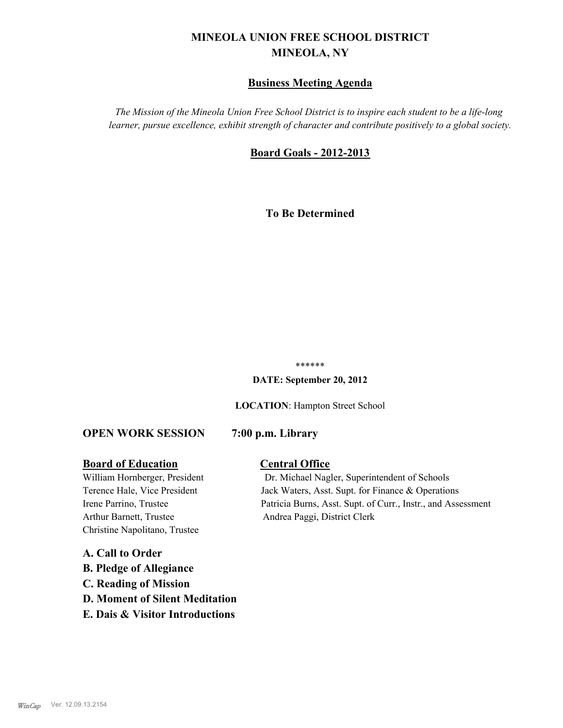# **MINEOLA UNION FREE SCHOOL DISTRICT MINEOLA, NY**

# **Business Meeting Agenda**

*The Mission of the Mineola Union Free School District is to inspire each student to be a life-long learner, pursue excellence, exhibit strength of character and contribute positively to a global society.*

# **Board Goals - 2012-2013**

**To Be Determined**

#### \*\*\*\*\*\*

**DATE: September 20, 2012**

**LOCATION**: Hampton Street School

#### **OPEN WORK SESSION 7:00 p.m. Library**

#### **Board of Education Central Office**

Arthur Barnett, Trustee Andrea Paggi, District Clerk Christine Napolitano, Trustee

**A. Call to Order B. Pledge of Allegiance C. Reading of Mission D. Moment of Silent Meditation E. Dais & Visitor Introductions**

William Hornberger, President Dr. Michael Nagler, Superintendent of Schools Terence Hale, Vice President Jack Waters, Asst. Supt. for Finance & Operations Irene Parrino, Trustee Patricia Burns, Asst. Supt. of Curr., Instr., and Assessment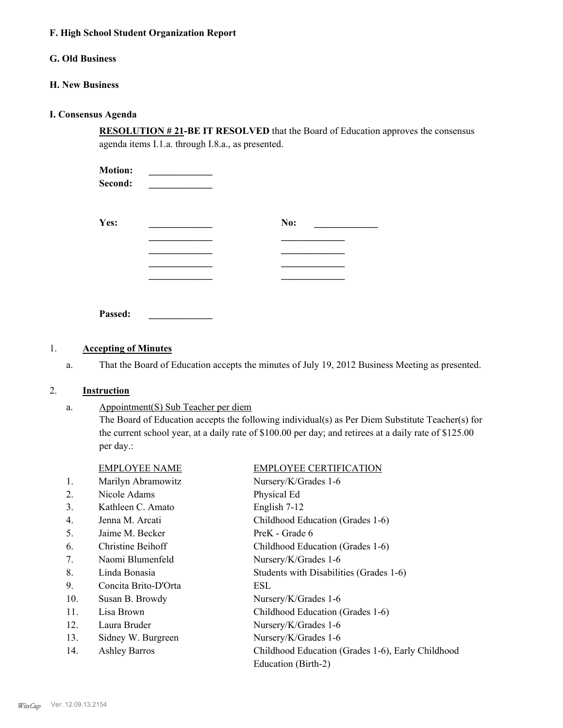#### **F. High School Student Organization Report**

# **G. Old Business**

#### **H. New Business**

#### **I. Consensus Agenda**

**RESOLUTION # 21-BE IT RESOLVED** that the Board of Education approves the consensus agenda items I.1.a. through I.8.a., as presented.

| <b>Motion:</b><br>Second: |     |  |
|---------------------------|-----|--|
| Yes:                      | No: |  |
|                           |     |  |
|                           |     |  |
|                           |     |  |
|                           |     |  |

**Passed: \_\_\_\_\_\_\_\_\_\_\_\_\_**

## 1. **Accepting of Minutes**

a. That the Board of Education accepts the minutes of July 19, 2012 Business Meeting as presented.

#### 2. **Instruction**

a.

Appointment(S) Sub Teacher per diem The Board of Education accepts the following individual(s) as Per Diem Substitute Teacher(s) for the current school year, at a daily rate of \$100.00 per day; and retirees at a daily rate of \$125.00 per day.:

|     | <b>EMPLOYEE NAME</b> | <b>EMPLOYEE CERTIFICATION</b>                     |
|-----|----------------------|---------------------------------------------------|
| 1.  | Marilyn Abramowitz   | Nursery/K/Grades 1-6                              |
| 2.  | Nicole Adams         | Physical Ed                                       |
| 3.  | Kathleen C. Amato    | English 7-12                                      |
| 4.  | Jenna M. Arcati      | Childhood Education (Grades 1-6)                  |
| 5.  | Jaime M. Becker      | PreK - Grade 6                                    |
| 6.  | Christine Beihoff    | Childhood Education (Grades 1-6)                  |
| 7.  | Naomi Blumenfeld     | Nursery/K/Grades 1-6                              |
| 8.  | Linda Bonasia        | Students with Disabilities (Grades 1-6)           |
| 9.  | Concita Brito-D'Orta | ESL                                               |
| 10. | Susan B. Browdy      | Nursery/K/Grades 1-6                              |
| 11. | Lisa Brown           | Childhood Education (Grades 1-6)                  |
| 12. | Laura Bruder         | Nursery/K/Grades 1-6                              |
| 13. | Sidney W. Burgreen   | Nursery/K/Grades 1-6                              |
| 14. | <b>Ashley Barros</b> | Childhood Education (Grades 1-6), Early Childhood |
|     |                      | Education (Birth-2)                               |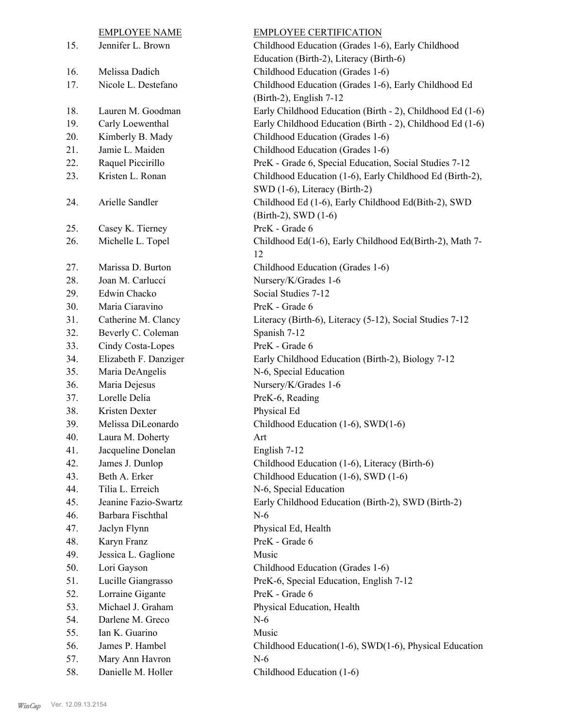|     | <b>EMPLOYEE NAME</b>  | <b>EMPLOYEE CERTIFICATION</b>                             |
|-----|-----------------------|-----------------------------------------------------------|
| 15. | Jennifer L. Brown     | Childhood Education (Grades 1-6), Early Childhood         |
|     |                       | Education (Birth-2), Literacy (Birth-6)                   |
| 16. | Melissa Dadich        | Childhood Education (Grades 1-6)                          |
| 17. | Nicole L. Destefano   | Childhood Education (Grades 1-6), Early Childhood Ed      |
|     |                       | (Birth-2), English 7-12                                   |
| 18. | Lauren M. Goodman     | Early Childhood Education (Birth - 2), Childhood Ed (1-6) |
| 19. | Carly Loewenthal      | Early Childhood Education (Birth - 2), Childhood Ed (1-6) |
| 20. | Kimberly B. Mady      | Childhood Education (Grades 1-6)                          |
| 21. | Jamie L. Maiden       | Childhood Education (Grades 1-6)                          |
| 22. | Raquel Piccirillo     | PreK - Grade 6, Special Education, Social Studies 7-12    |
| 23. | Kristen L. Ronan      | Childhood Education (1-6), Early Childhood Ed (Birth-2),  |
|     |                       | SWD (1-6), Literacy (Birth-2)                             |
| 24. | Arielle Sandler       | Childhood Ed (1-6), Early Childhood Ed(Bith-2), SWD       |
|     |                       | (Birth-2), SWD (1-6)                                      |
| 25. | Casey K. Tierney      | PreK - Grade 6                                            |
| 26. | Michelle L. Topel     | Childhood Ed(1-6), Early Childhood Ed(Birth-2), Math 7-   |
|     |                       | 12                                                        |
| 27. | Marissa D. Burton     | Childhood Education (Grades 1-6)                          |
| 28. | Joan M. Carlucci      | Nursery/K/Grades 1-6                                      |
| 29. | Edwin Chacko          | Social Studies 7-12                                       |
| 30. | Maria Ciaravino       | PreK - Grade 6                                            |
| 31. | Catherine M. Clancy   | Literacy (Birth-6), Literacy (5-12), Social Studies 7-12  |
| 32. | Beverly C. Coleman    | Spanish 7-12                                              |
| 33. | Cindy Costa-Lopes     | PreK - Grade 6                                            |
| 34. | Elizabeth F. Danziger | Early Childhood Education (Birth-2), Biology 7-12         |
| 35. | Maria DeAngelis       | N-6, Special Education                                    |
| 36. | Maria Dejesus         | Nursery/K/Grades 1-6                                      |
| 37. | Lorelle Delia         | PreK-6, Reading                                           |
| 38. | Kristen Dexter        | Physical Ed                                               |
| 39. | Melissa DiLeonardo    | Childhood Education (1-6), SWD(1-6)                       |
| 40. | Laura M. Doherty      | Art                                                       |
| 41. | Jacqueline Donelan    | English 7-12                                              |
| 42. | James J. Dunlop       | Childhood Education (1-6), Literacy (Birth-6)             |
| 43. | Beth A. Erker         | Childhood Education (1-6), SWD (1-6)                      |
| 44. | Tilia L. Erreich      | N-6, Special Education                                    |
| 45. | Jeanine Fazio-Swartz  | Early Childhood Education (Birth-2), SWD (Birth-2)        |
| 46. | Barbara Fischthal     | $N-6$                                                     |
| 47. | Jaclyn Flynn          | Physical Ed, Health                                       |
| 48. | Karyn Franz           | PreK - Grade 6                                            |
| 49. | Jessica L. Gaglione   | Music                                                     |
| 50. | Lori Gayson           | Childhood Education (Grades 1-6)                          |
| 51. | Lucille Giangrasso    | PreK-6, Special Education, English 7-12                   |
| 52. | Lorraine Gigante      | PreK - Grade 6                                            |
| 53. | Michael J. Graham     | Physical Education, Health                                |
| 54. | Darlene M. Greco      | $N-6$                                                     |
| 55. | Ian K. Guarino        | Music                                                     |
| 56. | James P. Hambel       | Childhood Education(1-6), SWD(1-6), Physical Education    |
| 57. | Mary Ann Havron       | $N-6$                                                     |
| 58. | Danielle M. Holler    | Childhood Education (1-6)                                 |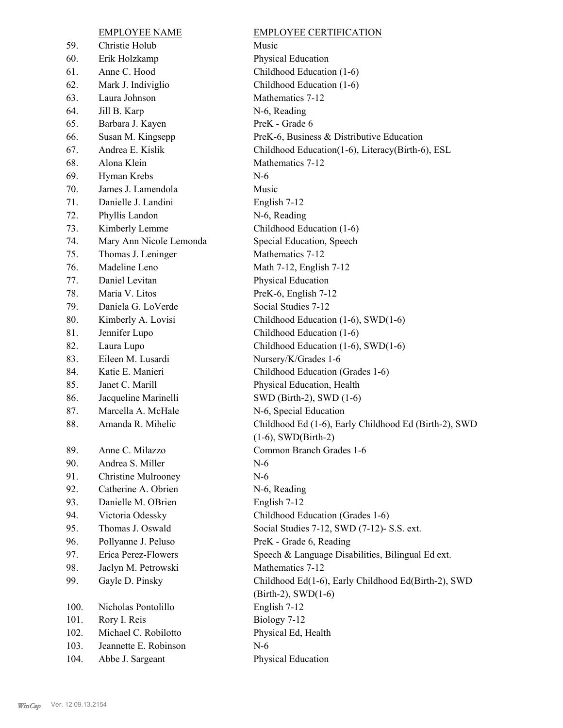|      | <b>EMPLOYEE NAME</b>       | <b>EMPLOYEE CERTIFICATION</b>                         |
|------|----------------------------|-------------------------------------------------------|
| 59.  | Christie Holub             | Music                                                 |
| 60.  | Erik Holzkamp              | Physical Education                                    |
| 61.  | Anne C. Hood               | Childhood Education (1-6)                             |
| 62.  | Mark J. Indiviglio         | Childhood Education (1-6)                             |
| 63.  | Laura Johnson              | Mathematics 7-12                                      |
| 64.  | Jill B. Karp               | N-6, Reading                                          |
| 65.  | Barbara J. Kayen           | PreK - Grade 6                                        |
| 66.  | Susan M. Kingsepp          | PreK-6, Business & Distributive Education             |
| 67.  | Andrea E. Kislik           | Childhood Education(1-6), Literacy(Birth-6), ESL      |
| 68.  | Alona Klein                | Mathematics 7-12                                      |
| 69.  | Hyman Krebs                | $N-6$                                                 |
| 70.  | James J. Lamendola         | Music                                                 |
| 71.  | Danielle J. Landini        | English 7-12                                          |
| 72.  | Phyllis Landon             | N-6, Reading                                          |
| 73.  | Kimberly Lemme             | Childhood Education (1-6)                             |
| 74.  | Mary Ann Nicole Lemonda    | Special Education, Speech                             |
| 75.  | Thomas J. Leninger         | Mathematics 7-12                                      |
| 76.  | Madeline Leno              | Math 7-12, English 7-12                               |
| 77.  | Daniel Levitan             | Physical Education                                    |
| 78.  | Maria V. Litos             | PreK-6, English 7-12                                  |
| 79.  | Daniela G. LoVerde         | Social Studies 7-12                                   |
| 80.  | Kimberly A. Lovisi         | Childhood Education (1-6), SWD(1-6)                   |
| 81.  | Jennifer Lupo              | Childhood Education (1-6)                             |
| 82.  | Laura Lupo                 | Childhood Education (1-6), SWD(1-6)                   |
| 83.  | Eileen M. Lusardi          | Nursery/K/Grades 1-6                                  |
| 84.  | Katie E. Manieri           | Childhood Education (Grades 1-6)                      |
| 85.  | Janet C. Marill            | Physical Education, Health                            |
| 86.  | Jacqueline Marinelli       | SWD (Birth-2), SWD (1-6)                              |
| 87.  | Marcella A. McHale         | N-6, Special Education                                |
| 88.  | Amanda R. Mihelic          | Childhood Ed (1-6), Early Childhood Ed (Birth-2), SWD |
|      |                            | $(1-6)$ , SWD $(Birth-2)$                             |
| 89.  | Anne C. Milazzo            | Common Branch Grades 1-6                              |
| 90.  | Andrea S. Miller           | $N-6$                                                 |
| 91.  | <b>Christine Mulrooney</b> | $N-6$                                                 |
| 92.  | Catherine A. Obrien        | N-6, Reading                                          |
| 93.  | Danielle M. OBrien         | English 7-12                                          |
| 94.  | Victoria Odessky           | Childhood Education (Grades 1-6)                      |
| 95.  | Thomas J. Oswald           | Social Studies 7-12, SWD (7-12)- S.S. ext.            |
| 96.  | Pollyanne J. Peluso        | PreK - Grade 6, Reading                               |
| 97.  | Erica Perez-Flowers        | Speech & Language Disabilities, Bilingual Ed ext.     |
| 98.  | Jaclyn M. Petrowski        | Mathematics 7-12                                      |
| 99.  | Gayle D. Pinsky            | Childhood Ed(1-6), Early Childhood Ed(Birth-2), SWD   |
|      |                            | $(Birth-2)$ , SWD $(1-6)$                             |
| 100. | Nicholas Pontolillo        | English 7-12                                          |
| 101. | Rory I. Reis               | Biology 7-12                                          |
| 102. | Michael C. Robilotto       | Physical Ed, Health                                   |
| 103. | Jeannette E. Robinson      | $N-6$                                                 |
| 104. | Abbe J. Sargeant           | Physical Education                                    |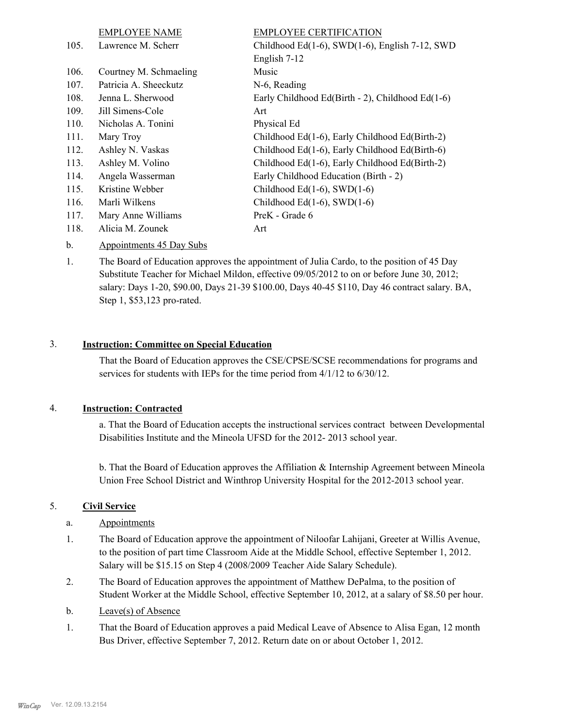|      | <b>EMPLOYEE NAME</b>   | <b>EMPLOYEE CERTIFICATION</b>                    |
|------|------------------------|--------------------------------------------------|
| 105. | Lawrence M. Scherr     | Childhood Ed(1-6), SWD(1-6), English 7-12, SWD   |
|      |                        | English 7-12                                     |
| 106. | Courtney M. Schmaeling | Music                                            |
| 107. | Patricia A. Sheeckutz  | N-6, Reading                                     |
| 108. | Jenna L. Sherwood      | Early Childhood Ed(Birth - 2), Childhood Ed(1-6) |
| 109. | Jill Simens-Cole       | Art                                              |
| 110. | Nicholas A. Tonini     | Physical Ed                                      |
| 111. | Mary Troy              | Childhood Ed(1-6), Early Childhood Ed(Birth-2)   |
| 112. | Ashley N. Vaskas       | Childhood Ed(1-6), Early Childhood Ed(Birth-6)   |
| 113. | Ashley M. Volino       | Childhood Ed(1-6), Early Childhood Ed(Birth-2)   |
| 114. | Angela Wasserman       | Early Childhood Education (Birth - 2)            |
| 115. | Kristine Webber        | Childhood Ed $(1-6)$ , SWD $(1-6)$               |
| 116. | Marli Wilkens          | Childhood Ed $(1-6)$ , SWD $(1-6)$               |
| 117. | Mary Anne Williams     | PreK - Grade 6                                   |
| 118. | Alicia M. Zounek       | Art                                              |
|      |                        |                                                  |

#### b. Appointments 45 Day Subs

The Board of Education approves the appointment of Julia Cardo, to the position of 45 Day Substitute Teacher for Michael Mildon, effective 09/05/2012 to on or before June 30, 2012; salary: Days 1-20, \$90.00, Days 21-39 \$100.00, Days 40-45 \$110, Day 46 contract salary. BA, Step 1, \$53,123 pro-rated. 1.

#### 3. **Instruction: Committee on Special Education**

That the Board of Education approves the CSE/CPSE/SCSE recommendations for programs and services for students with IEPs for the time period from 4/1/12 to 6/30/12.

#### 4. **Instruction: Contracted**

a. That the Board of Education accepts the instructional services contract between Developmental Disabilities Institute and the Mineola UFSD for the 2012- 2013 school year.

b. That the Board of Education approves the Affiliation & Internship Agreement between Mineola Union Free School District and Winthrop University Hospital for the 2012-2013 school year.

## 5. **Civil Service**

- a. Appointments
- The Board of Education approve the appointment of Niloofar Lahijani, Greeter at Willis Avenue, to the position of part time Classroom Aide at the Middle School, effective September 1, 2012. Salary will be \$15.15 on Step 4 (2008/2009 Teacher Aide Salary Schedule). 1.
- The Board of Education approves the appointment of Matthew DePalma, to the position of Student Worker at the Middle School, effective September 10, 2012, at a salary of \$8.50 per hour. 2.
- b. Leave(s) of Absence
- That the Board of Education approves a paid Medical Leave of Absence to Alisa Egan, 12 month Bus Driver, effective September 7, 2012. Return date on or about October 1, 2012. 1.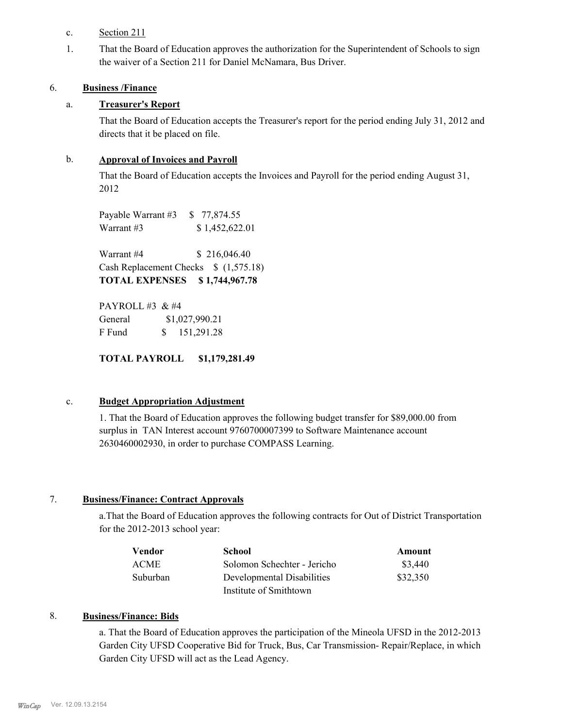# c. Section 211

That the Board of Education approves the authorization for the Superintendent of Schools to sign the waiver of a Section 211 for Daniel McNamara, Bus Driver. 1.

### 6. **Business /Finance**

## a. **Treasurer's Report**

That the Board of Education accepts the Treasurer's report for the period ending July 31, 2012 and directs that it be placed on file.

## b. **Approval of Invoices and Payroll**

That the Board of Education accepts the Invoices and Payroll for the period ending August 31, 2012

Payable Warrant #3 \$ 77,874.55 Warrant #3 \$ 1,452,622.01

Warrant #4 \$ 216,046.40 Cash Replacement Checks \$ (1,575.18) **TOTAL EXPENSES \$ 1,744,967.78**

PAYROLL #3 & #4 General  $$1,027,990.21$ F Fund \$ 151,291.28

**TOTAL PAYROLL \$1,179,281.49**

# c. **Budget Appropriation Adjustment**

1. That the Board of Education approves the following budget transfer for \$89,000.00 from surplus in TAN Interest account 9760700007399 to Software Maintenance account 2630460002930, in order to purchase COMPASS Learning.

# 7. **Business/Finance: Contract Approvals**

a.That the Board of Education approves the following contracts for Out of District Transportation for the 2012-2013 school year:

| Vendor      | School                      | Amount   |
|-------------|-----------------------------|----------|
| <b>ACME</b> | Solomon Schechter - Jericho | \$3,440  |
| Suburban    | Developmental Disabilities  | \$32,350 |
|             | Institute of Smithtown      |          |

#### 8. **Business/Finance: Bids**

a. That the Board of Education approves the participation of the Mineola UFSD in the 2012-2013 Garden City UFSD Cooperative Bid for Truck, Bus, Car Transmission- Repair/Replace, in which Garden City UFSD will act as the Lead Agency.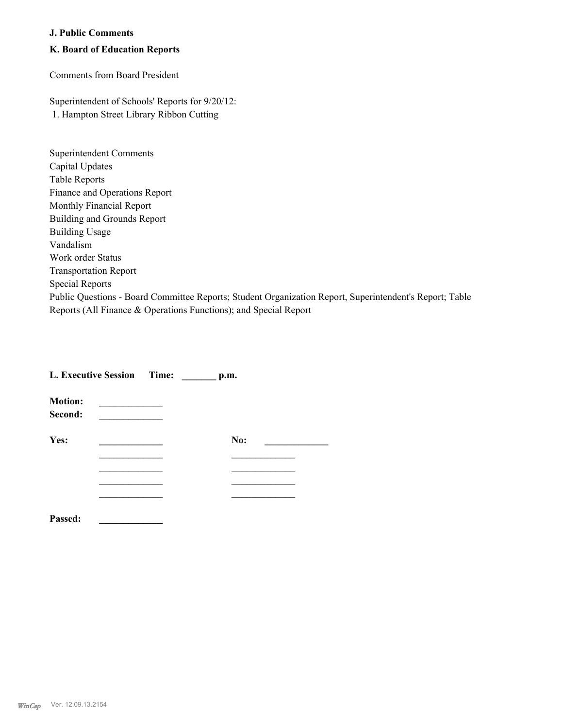#### **J. Public Comments**

# **K. Board of Education Reports**

Comments from Board President

Superintendent of Schools' Reports for 9/20/12: 1. Hampton Street Library Ribbon Cutting

| Superintendent Comments                                                                                 |
|---------------------------------------------------------------------------------------------------------|
| Capital Updates                                                                                         |
| <b>Table Reports</b>                                                                                    |
| Finance and Operations Report                                                                           |
| Monthly Financial Report                                                                                |
| Building and Grounds Report                                                                             |
| <b>Building Usage</b>                                                                                   |
| Vandalism                                                                                               |
| Work order Status                                                                                       |
| <b>Transportation Report</b>                                                                            |
| Special Reports                                                                                         |
| Public Questions - Board Committee Reports; Student Organization Report, Superintendent's Report; Table |
| Reports (All Finance & Operations Functions); and Special Report                                        |

|                           | L. Executive Session Time: | p.m. |  |
|---------------------------|----------------------------|------|--|
| <b>Motion:</b><br>Second: |                            |      |  |
| Yes:                      |                            | No:  |  |
|                           |                            |      |  |
|                           |                            |      |  |
|                           |                            |      |  |
|                           |                            |      |  |
| Passed:                   |                            |      |  |